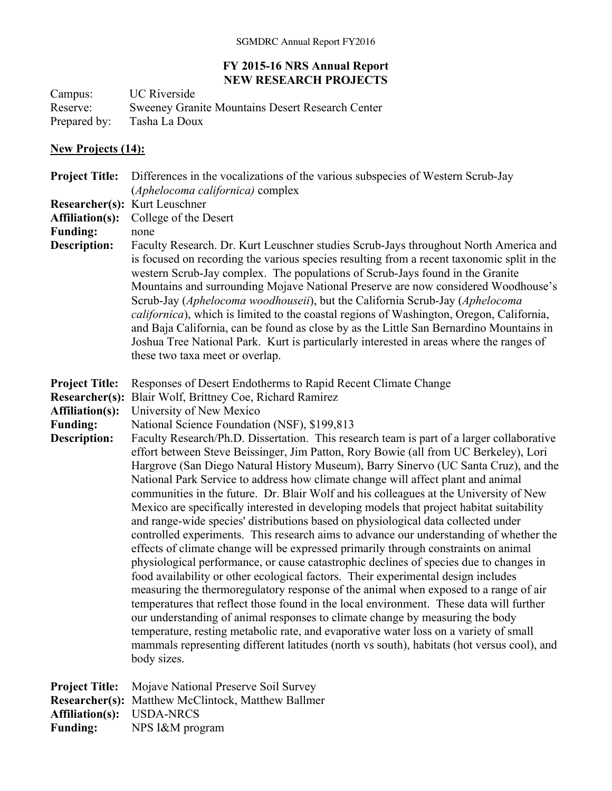## **FY 2015-16 NRS Annual Report NEW RESEARCH PROJECTS**

Campus: UC Riverside Reserve: Sweeney Granite Mountains Desert Research Center Prepared by: Tasha La Doux

## **New Projects (14):**

**Project Title:** Differences in the vocalizations of the various subspecies of Western Scrub-Jay (*Aphelocoma californica)* complex

**Researcher(s):** Kurt Leuschner

**Affiliation(s):** College of the Desert

**Funding:** none

**Description:** Faculty Research. Dr. Kurt Leuschner studies Scrub-Jays throughout North America and is focused on recording the various species resulting from a recent taxonomic split in the western Scrub-Jay complex. The populations of Scrub-Jays found in the Granite Mountains and surrounding Mojave National Preserve are now considered Woodhouse's Scrub-Jay (*Aphelocoma woodhouseii*), but the California Scrub-Jay (*Aphelocoma californica*), which is limited to the coastal regions of Washington, Oregon, California, and Baja California, can be found as close by as the Little San Bernardino Mountains in Joshua Tree National Park. Kurt is particularly interested in areas where the ranges of these two taxa meet or overlap.

**Project Title:** Responses of Desert Endotherms to Rapid Recent Climate Change

**Researcher(s):** Blair Wolf, Brittney Coe, Richard Ramirez

**Affiliation(s):** University of New Mexico

**Funding:** National Science Foundation (NSF), \$199,813

**Description:** Faculty Research/Ph.D. Dissertation. This research team is part of a larger collaborative effort between Steve Beissinger, Jim Patton, Rory Bowie (all from UC Berkeley), Lori Hargrove (San Diego Natural History Museum), Barry Sinervo (UC Santa Cruz), and the National Park Service to address how climate change will affect plant and animal communities in the future. Dr. Blair Wolf and his colleagues at the University of New Mexico are specifically interested in developing models that project habitat suitability and range-wide species' distributions based on physiological data collected under controlled experiments. This research aims to advance our understanding of whether the effects of climate change will be expressed primarily through constraints on animal physiological performance, or cause catastrophic declines of species due to changes in food availability or other ecological factors. Their experimental design includes measuring the thermoregulatory response of the animal when exposed to a range of air temperatures that reflect those found in the local environment. These data will further our understanding of animal responses to climate change by measuring the body temperature, resting metabolic rate, and evaporative water loss on a variety of small mammals representing different latitudes (north vs south), habitats (hot versus cool), and body sizes.

**Project Title:** Mojave National Preserve Soil Survey **Researcher(s):** Matthew McClintock, Matthew Ballmer **Affiliation(s):** USDA-NRCS **Funding:** NPS I&M program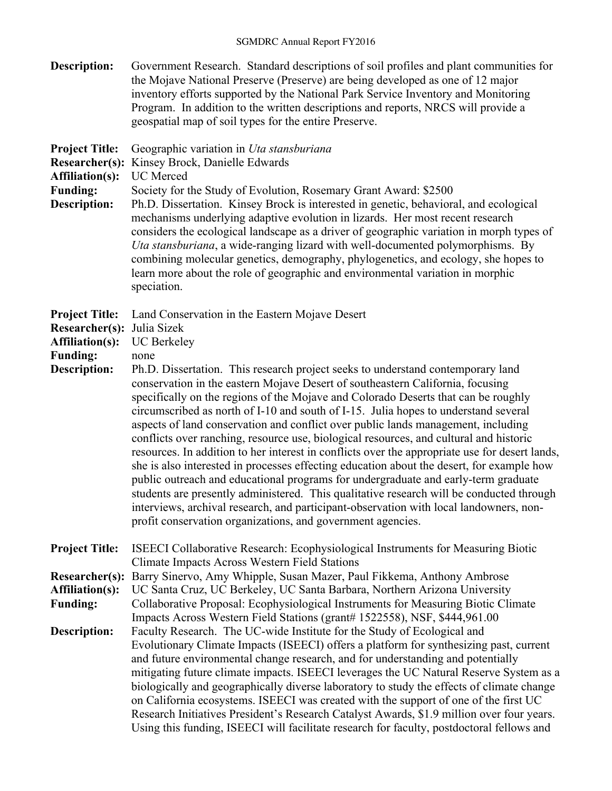**Description:** Government Research. Standard descriptions of soil profiles and plant communities for the Mojave National Preserve (Preserve) are being developed as one of 12 major inventory efforts supported by the National Park Service Inventory and Monitoring Program. In addition to the written descriptions and reports, NRCS will provide a geospatial map of soil types for the entire Preserve. **Project Title:** Geographic variation in *Uta stansburiana* **Researcher(s):** Kinsey Brock, Danielle Edwards **Affiliation(s):** UC Merced **Funding:** Society for the Study of Evolution, Rosemary Grant Award: \$2500 **Description:** Ph.D. Dissertation. Kinsey Brock is interested in genetic, behavioral, and ecological mechanisms underlying adaptive evolution in lizards. Her most recent research considers the ecological landscape as a driver of geographic variation in morph types of *Uta stansburiana*, a wide-ranging lizard with well-documented polymorphisms. By combining molecular genetics, demography, phylogenetics, and ecology, she hopes to learn more about the role of geographic and environmental variation in morphic speciation. **Project Title:** Land Conservation in the Eastern Mojave Desert **Researcher(s):** Julia Sizek **Affiliation(s):** UC Berkeley **Funding:** none **Description:** Ph.D. Dissertation. This research project seeks to understand contemporary land conservation in the eastern Mojave Desert of southeastern California, focusing specifically on the regions of the Mojave and Colorado Deserts that can be roughly circumscribed as north of I-10 and south of I-15. Julia hopes to understand several aspects of land conservation and conflict over public lands management, including conflicts over ranching, resource use, biological resources, and cultural and historic resources. In addition to her interest in conflicts over the appropriate use for desert lands, she is also interested in processes effecting education about the desert, for example how public outreach and educational programs for undergraduate and early-term graduate students are presently administered. This qualitative research will be conducted through interviews, archival research, and participant-observation with local landowners, nonprofit conservation organizations, and government agencies. **Project Title:** ISEECI Collaborative Research: Ecophysiological Instruments for Measuring Biotic Climate Impacts Across Western Field Stations **Researcher(s):** Barry Sinervo, Amy Whipple, Susan Mazer, Paul Fikkema, Anthony Ambrose **Affiliation(s):** UC Santa Cruz, UC Berkeley, UC Santa Barbara, Northern Arizona University **Funding:** Collaborative Proposal: Ecophysiological Instruments for Measuring Biotic Climate Impacts Across Western Field Stations (grant# 1522558), NSF, \$444,961.00 **Description:** Faculty Research. The UC-wide Institute for the Study of Ecological and Evolutionary Climate Impacts (ISEECI) offers a platform for synthesizing past, current and future environmental change research, and for understanding and potentially mitigating future climate impacts. ISEECI leverages the UC Natural Reserve System as a biologically and geographically diverse laboratory to study the effects of climate change on California ecosystems. ISEECI was created with the support of one of the first UC Research Initiatives President's Research Catalyst Awards, \$1.9 million over four years. Using this funding, ISEECI will facilitate research for faculty, postdoctoral fellows and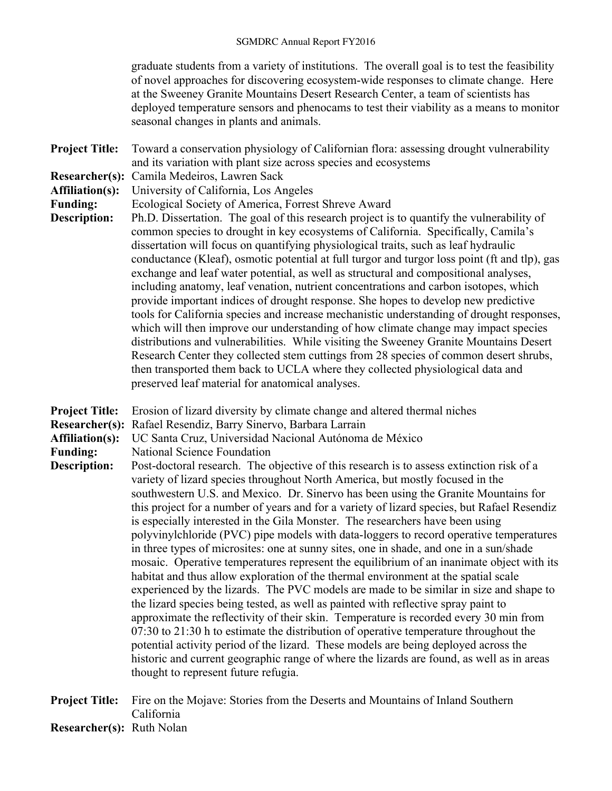graduate students from a variety of institutions. The overall goal is to test the feasibility of novel approaches for discovering ecosystem-wide responses to climate change. Here at the Sweeney Granite Mountains Desert Research Center, a team of scientists has deployed temperature sensors and phenocams to test their viability as a means to monitor seasonal changes in plants and animals.

- **Project Title:** Toward a conservation physiology of Californian flora: assessing drought vulnerability and its variation with plant size across species and ecosystems
- **Researcher(s):** Camila Medeiros, Lawren Sack
- **Affiliation(s):** University of California, Los Angeles
- **Funding:** Ecological Society of America, Forrest Shreve Award
- **Description:** Ph.D. Dissertation. The goal of this research project is to quantify the vulnerability of common species to drought in key ecosystems of California. Specifically, Camila's dissertation will focus on quantifying physiological traits, such as leaf hydraulic conductance (Kleaf), osmotic potential at full turgor and turgor loss point (ft and tlp), gas exchange and leaf water potential, as well as structural and compositional analyses, including anatomy, leaf venation, nutrient concentrations and carbon isotopes, which provide important indices of drought response. She hopes to develop new predictive tools for California species and increase mechanistic understanding of drought responses, which will then improve our understanding of how climate change may impact species distributions and vulnerabilities. While visiting the Sweeney Granite Mountains Desert Research Center they collected stem cuttings from 28 species of common desert shrubs, then transported them back to UCLA where they collected physiological data and preserved leaf material for anatomical analyses.
- **Project Title:** Erosion of lizard diversity by climate change and altered thermal niches
- **Researcher(s):** Rafael Resendiz, Barry Sinervo, Barbara Larrain
- **Affiliation(s):** UC Santa Cruz, Universidad Nacional Autónoma de México
- **Funding:** National Science Foundation
- **Description:** Post-doctoral research. The objective of this research is to assess extinction risk of a variety of lizard species throughout North America, but mostly focused in the southwestern U.S. and Mexico. Dr. Sinervo has been using the Granite Mountains for this project for a number of years and for a variety of lizard species, but Rafael Resendiz is especially interested in the Gila Monster. The researchers have been using polyvinylchloride (PVC) pipe models with data-loggers to record operative temperatures in three types of microsites: one at sunny sites, one in shade, and one in a sun/shade mosaic. Operative temperatures represent the equilibrium of an inanimate object with its habitat and thus allow exploration of the thermal environment at the spatial scale experienced by the lizards. The PVC models are made to be similar in size and shape to the lizard species being tested, as well as painted with reflective spray paint to approximate the reflectivity of their skin. Temperature is recorded every 30 min from 07:30 to 21:30 h to estimate the distribution of operative temperature throughout the potential activity period of the lizard. These models are being deployed across the historic and current geographic range of where the lizards are found, as well as in areas thought to represent future refugia.

**Project Title:** Fire on the Mojave: Stories from the Deserts and Mountains of Inland Southern California

**Researcher(s):** Ruth Nolan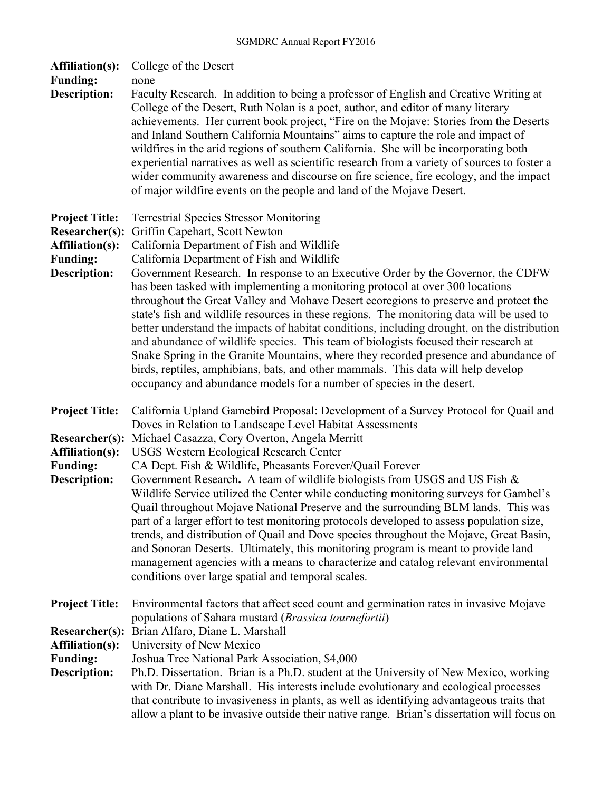| <b>Affiliation(s):</b><br><b>Funding:</b><br><b>Description:</b>                                            | College of the Desert<br>none<br>Faculty Research. In addition to being a professor of English and Creative Writing at<br>College of the Desert, Ruth Nolan is a poet, author, and editor of many literary<br>achievements. Her current book project, "Fire on the Mojave: Stories from the Deserts<br>and Inland Southern California Mountains" aims to capture the role and impact of<br>wildfires in the arid regions of southern California. She will be incorporating both<br>experiential narratives as well as scientific research from a variety of sources to foster a<br>wider community awareness and discourse on fire science, fire ecology, and the impact                                                                                                                                                                                                                                                                                                                                                                                     |
|-------------------------------------------------------------------------------------------------------------|--------------------------------------------------------------------------------------------------------------------------------------------------------------------------------------------------------------------------------------------------------------------------------------------------------------------------------------------------------------------------------------------------------------------------------------------------------------------------------------------------------------------------------------------------------------------------------------------------------------------------------------------------------------------------------------------------------------------------------------------------------------------------------------------------------------------------------------------------------------------------------------------------------------------------------------------------------------------------------------------------------------------------------------------------------------|
| <b>Project Title:</b><br>Researcher(s):<br><b>Affiliation(s):</b><br><b>Funding:</b><br><b>Description:</b> | of major wildfire events on the people and land of the Mojave Desert.<br><b>Terrestrial Species Stressor Monitoring</b><br>Griffin Capehart, Scott Newton<br>California Department of Fish and Wildlife<br>California Department of Fish and Wildlife<br>Government Research. In response to an Executive Order by the Governor, the CDFW<br>has been tasked with implementing a monitoring protocol at over 300 locations<br>throughout the Great Valley and Mohave Desert ecoregions to preserve and protect the<br>state's fish and wildlife resources in these regions. The monitoring data will be used to<br>better understand the impacts of habitat conditions, including drought, on the distribution<br>and abundance of wildlife species. This team of biologists focused their research at<br>Snake Spring in the Granite Mountains, where they recorded presence and abundance of<br>birds, reptiles, amphibians, bats, and other mammals. This data will help develop<br>occupancy and abundance models for a number of species in the desert. |
| <b>Project Title:</b><br>Researcher(s):<br><b>Affiliation(s):</b><br><b>Funding:</b><br><b>Description:</b> | California Upland Gamebird Proposal: Development of a Survey Protocol for Quail and<br>Doves in Relation to Landscape Level Habitat Assessments<br>Michael Casazza, Cory Overton, Angela Merritt<br><b>USGS Western Ecological Research Center</b><br>CA Dept. Fish & Wildlife, Pheasants Forever/Quail Forever<br>Government Research. A team of wildlife biologists from USGS and US Fish &<br>Wildlife Service utilized the Center while conducting monitoring surveys for Gambel's<br>Quail throughout Mojave National Preserve and the surrounding BLM lands. This was<br>part of a larger effort to test monitoring protocols developed to assess population size,<br>trends, and distribution of Quail and Dove species throughout the Mojave, Great Basin,                                                                                                                                                                                                                                                                                           |
| <b>Project Title:</b><br>Researcher(s):<br><b>Affiliation(s):</b><br><b>Funding:</b><br><b>Description:</b> | and Sonoran Deserts. Ultimately, this monitoring program is meant to provide land<br>management agencies with a means to characterize and catalog relevant environmental<br>conditions over large spatial and temporal scales.<br>Environmental factors that affect seed count and germination rates in invasive Mojave<br>populations of Sahara mustard (Brassica tournefortii)<br>Brian Alfaro, Diane L. Marshall<br>University of New Mexico<br>Joshua Tree National Park Association, \$4,000<br>Ph.D. Dissertation. Brian is a Ph.D. student at the University of New Mexico, working<br>with Dr. Diane Marshall. His interests include evolutionary and ecological processes<br>that contribute to invasiveness in plants, as well as identifying advantageous traits that<br>allow a plant to be invasive outside their native range. Brian's dissertation will focus on                                                                                                                                                                              |